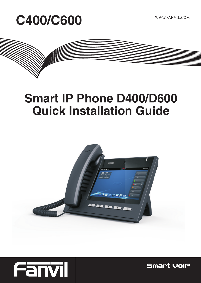WWW.FANVIL.COM

# C400/C600

## Smart IP Phone D400/D600 Quick Installation Guide





Smart VolP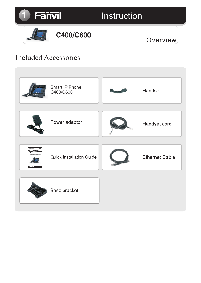

Overview

## Included Accessories

| Smart IP Phone<br>C400/C600                        | Handset               |
|----------------------------------------------------|-----------------------|
| Power adaptor                                      | Handset cord          |
| Common<br><b>Quick Installation Guide</b><br>Parry | <b>Ethernet Cable</b> |
| Base bracket                                       |                       |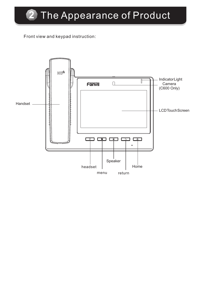Front view and keypad instruction:

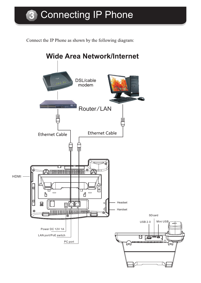Connect the IP Phone as shown by the following diagram:

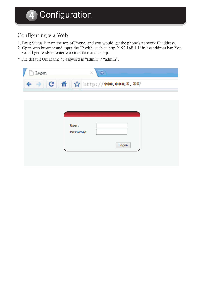#### **Configuration** 4

#### Configuring via Web

- 1. Drag Status Bar on the top of Phone, and you would get the phone's network IP address.
- 2. Open web browser and input the IP with, such as http://192.168.1.1/ in the address bar. You would get ready to enter web interface and set up.
- \* The default Username / Password is "admin" / "admin".

| Logon | $\oplus$<br>$\times$                               |
|-------|----------------------------------------------------|
|       | $ C $ $\mathbf{\hat{n}}$ $\propto$ http://***.***. |
|       |                                                    |
|       |                                                    |
|       |                                                    |
|       | User:<br>Password:                                 |
|       | Logon                                              |
|       |                                                    |
|       |                                                    |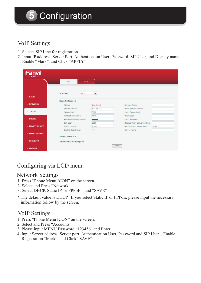#### **Configuration** 5

#### VoIP Settings

- 1. Selects SIP Line for registration
- 2. Input IP address, Server Port, Authentication User, Password, SIP User, and Display name... Enable "Mark", and Click "APPLY"

| SIP <sub>1</sub><br>$\checkmark$<br><b>SIP Line</b><br>$\rightarrow$ BASIC<br><b>Basic Settings &gt;&gt;</b><br>> NETWORK<br>Domain Realm<br>Registered<br><b>Status</b><br>172, 18, 1, 2<br>Server Address<br>Proxy Server Address<br><b>VOIP</b><br>Server Port<br>5060<br>Proxy Server Port<br>8810<br><b>Authentication User</b><br>Proxy User<br>> PHONE<br>Authentication Password<br>Proxy Password<br><br>8810<br>Backup Proxy Server Address<br>SIP User<br><b>EUNCTION KEY</b><br>Adam<br>5060<br><b>Display Name</b><br>Backup Proxy Server Port<br>$\overline{\mathbf{v}}$<br><b>Enable Registration</b><br>Server Name<br>> MAINTENANCE<br>Audio Codecs >><br><b>SECURITY</b><br><b>Advanced SIP Settings&gt;&gt;</b> | $C600 \equiv$ | <b>SIP</b><br><b>STUN</b> |  |  |
|------------------------------------------------------------------------------------------------------------------------------------------------------------------------------------------------------------------------------------------------------------------------------------------------------------------------------------------------------------------------------------------------------------------------------------------------------------------------------------------------------------------------------------------------------------------------------------------------------------------------------------------------------------------------------------------------------------------------------------|---------------|---------------------------|--|--|
|                                                                                                                                                                                                                                                                                                                                                                                                                                                                                                                                                                                                                                                                                                                                    |               |                           |  |  |
|                                                                                                                                                                                                                                                                                                                                                                                                                                                                                                                                                                                                                                                                                                                                    |               |                           |  |  |
|                                                                                                                                                                                                                                                                                                                                                                                                                                                                                                                                                                                                                                                                                                                                    |               |                           |  |  |
|                                                                                                                                                                                                                                                                                                                                                                                                                                                                                                                                                                                                                                                                                                                                    |               |                           |  |  |
|                                                                                                                                                                                                                                                                                                                                                                                                                                                                                                                                                                                                                                                                                                                                    |               |                           |  |  |
|                                                                                                                                                                                                                                                                                                                                                                                                                                                                                                                                                                                                                                                                                                                                    |               |                           |  |  |
|                                                                                                                                                                                                                                                                                                                                                                                                                                                                                                                                                                                                                                                                                                                                    |               |                           |  |  |
|                                                                                                                                                                                                                                                                                                                                                                                                                                                                                                                                                                                                                                                                                                                                    |               |                           |  |  |
|                                                                                                                                                                                                                                                                                                                                                                                                                                                                                                                                                                                                                                                                                                                                    |               |                           |  |  |
|                                                                                                                                                                                                                                                                                                                                                                                                                                                                                                                                                                                                                                                                                                                                    |               |                           |  |  |
|                                                                                                                                                                                                                                                                                                                                                                                                                                                                                                                                                                                                                                                                                                                                    |               |                           |  |  |
|                                                                                                                                                                                                                                                                                                                                                                                                                                                                                                                                                                                                                                                                                                                                    |               |                           |  |  |
|                                                                                                                                                                                                                                                                                                                                                                                                                                                                                                                                                                                                                                                                                                                                    |               |                           |  |  |

#### Configuring via LCD menu

#### Network Settings

- 1. Press "Phone Menu ICON" on the screen.
- 2. Select and Press "Network".
- 3. Select DHCP, Static IP, or PPPoE and "SAVE"
- \* The default value is DHCP. If you select Static IP or PPPoE, please input the necessary information follow by the screen.

#### VoIP Settings

- 1. Press "Phone Menu ICON" on the screen.
- 2. Select and Press "Accounts"
- 3. Please input MENU Password "123456" and Enter
- 4. Input Server address, Server port, Authentication User, Password and SIP User... Enable Registration "Mark", and Click "SAVE"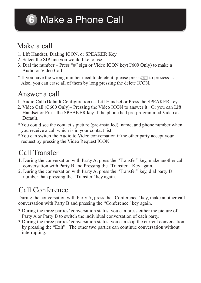## **6 Make a Phone Call**

## Make a call

- 1. Lift Handset, Dialing ICON, or SPEAKER Key
- 2. Select the SIP line you would like to use it
- 3. Dial the number Press "#" sign or Video ICON key(C600 Only) to make a Audio or Video Call
- \* If you have the wrong number need to delete it, please press  $\otimes$  to process it. Also, you can erase all of them by long pressing the delete ICON.

### Answer a call

- 1. Audio Call (Default Configuration) -- Lift Handset or Press the SPEAKER key
- 2. Video Call (C600 Only)– Pressing the Video ICON to answer it. Or you can Lift Handset or Press the SPEAKER key if the phone had pre-programmed Video as Default.
- \* You could see the contact's picture (pre-installed), name, and phone number when you receive a call which is in your contact list.
- \* You can switch the Audio to Video conversation if the other party accept your request by pressing the Video Request ICON.

## Call Transfer

- 1. During the conversation with Party A, press the "Transfer" key, make another call conversation with Party B and Pressing the "Transfer " Key again.
- 2. During the conversation with Party A, press the "Transfer" key, dial party B number than pressing the "Transfer" key again.

## Call Conference

During the conversation with Party A, press the "Conference" key, make another call conversation with Party B and pressing the "Conference" key again.

- \* During the three parties' conversation status, you can press either the picture of Party A or Party B to switch the individual conversation of each party.
- \* During the three parties' conversation status, you can skip the current conversation by pressing the "Exit". The other two parties can continue conversation without interrupting.